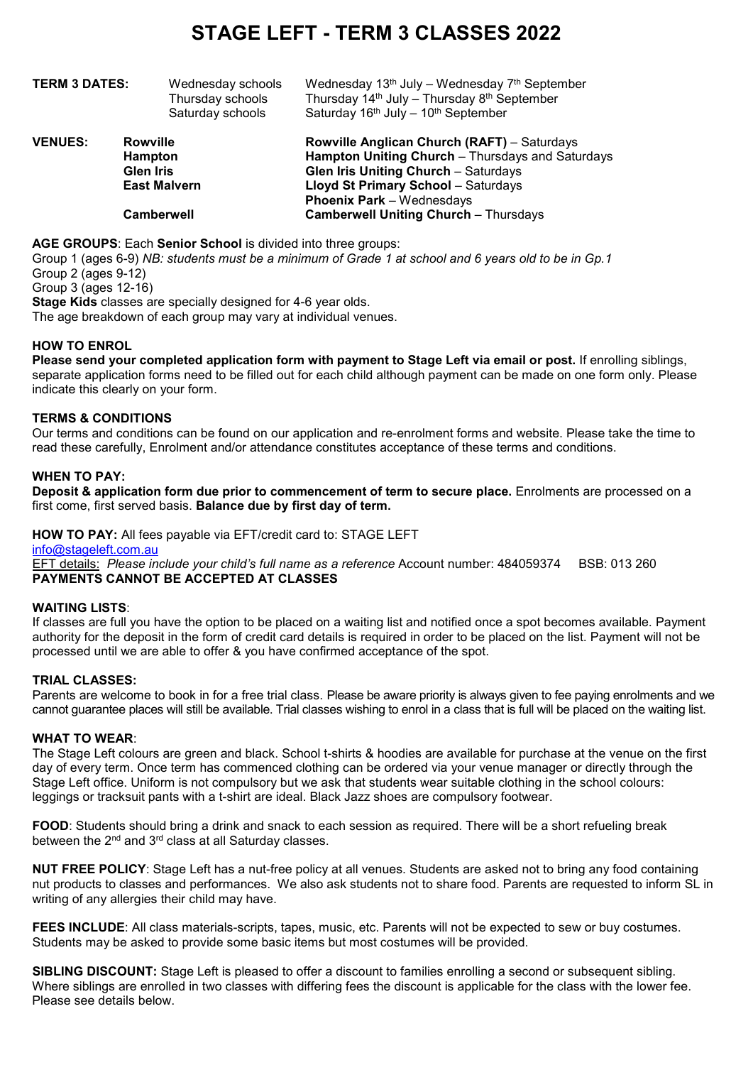# **STAGE LEFT - TERM 3 CLASSES 2022**

| TERM 3 DATES:  | Wednesday schools<br>Thursday schools<br>Saturday schools | Wednesday $13th$ July – Wednesday $7th$ September<br>Thursday $14th$ July – Thursday $8th$ September<br>Saturday 16 <sup>th</sup> July - 10 <sup>th</sup> September |
|----------------|-----------------------------------------------------------|---------------------------------------------------------------------------------------------------------------------------------------------------------------------|
| <b>VENUES:</b> | Rowville<br>Hampton<br><b>Glen Iris</b>                   | <b>Rowville Anglican Church (RAFT)</b> – Saturdays<br>Hampton Uniting Church - Thursdays and Saturdays<br><b>Glen Iris Uniting Church - Saturdays</b>               |
|                | <b>East Malvern</b>                                       | <b>Lloyd St Primary School - Saturdays</b>                                                                                                                          |
|                |                                                           | <b>Phoenix Park - Wednesdays</b>                                                                                                                                    |
|                | <b>Camberwell</b>                                         | <b>Camberwell Uniting Church - Thursdays</b>                                                                                                                        |
|                |                                                           |                                                                                                                                                                     |

**AGE GROUPS**: Each **Senior School** is divided into three groups:

Group 1 (ages 6-9) *NB: students must be a minimum of Grade 1 at school and 6 years old to be in Gp.1* Group 2 (ages 9-12)

Group 3 (ages 12-16)

**Stage Kids** classes are specially designed for 4-6 year olds.

The age breakdown of each group may vary at individual venues.

### **HOW TO ENROL**

**Please send your completed application form with payment to Stage Left via email or post.** If enrolling siblings, separate application forms need to be filled out for each child although payment can be made on one form only. Please indicate this clearly on your form.

#### **TERMS & CONDITIONS**

Our terms and conditions can be found on our application and re-enrolment forms and website. Please take the time to read these carefully, Enrolment and/or attendance constitutes acceptance of these terms and conditions.

#### **WHEN TO PAY:**

**Deposit & application form due prior to commencement of term to secure place.** Enrolments are processed on a first come, first served basis. **Balance due by first day of term.**

**HOW TO PAY:** All fees payable via EFT/credit card to: STAGE LEFT

[info@stageleft.com.au](mailto:info@stageleft.com.au)

EFT details: *Please include your child's full name as a reference* Account number: 484059374 BSB: 013 260 **PAYMENTS CANNOT BE ACCEPTED AT CLASSES**

#### **WAITING LISTS**:

If classes are full you have the option to be placed on a waiting list and notified once a spot becomes available. Payment authority for the deposit in the form of credit card details is required in order to be placed on the list. Payment will not be processed until we are able to offer & you have confirmed acceptance of the spot.

#### **TRIAL CLASSES:**

Parents are welcome to book in for a free trial class. Please be aware priority is always given to fee paying enrolments and we cannot guarantee places will still be available. Trial classes wishing to enrol in a class that is full will be placed on the waiting list.

#### **WHAT TO WEAR**:

The Stage Left colours are green and black. School t-shirts & hoodies are available for purchase at the venue on the first day of every term. Once term has commenced clothing can be ordered via your venue manager or directly through the Stage Left office. Uniform is not compulsory but we ask that students wear suitable clothing in the school colours: leggings or tracksuit pants with a t-shirt are ideal. Black Jazz shoes are compulsory footwear.

**FOOD**: Students should bring a drink and snack to each session as required. There will be a short refueling break between the 2<sup>nd</sup> and 3<sup>rd</sup> class at all Saturday classes.

**NUT FREE POLICY**: Stage Left has a nut-free policy at all venues. Students are asked not to bring any food containing nut products to classes and performances. We also ask students not to share food. Parents are requested to inform SL in writing of any allergies their child may have.

**FEES INCLUDE**: All class materials-scripts, tapes, music, etc. Parents will not be expected to sew or buy costumes. Students may be asked to provide some basic items but most costumes will be provided.

**SIBLING DISCOUNT:** Stage Left is pleased to offer a discount to families enrolling a second or subsequent sibling. Where siblings are enrolled in two classes with differing fees the discount is applicable for the class with the lower fee. Please see details below.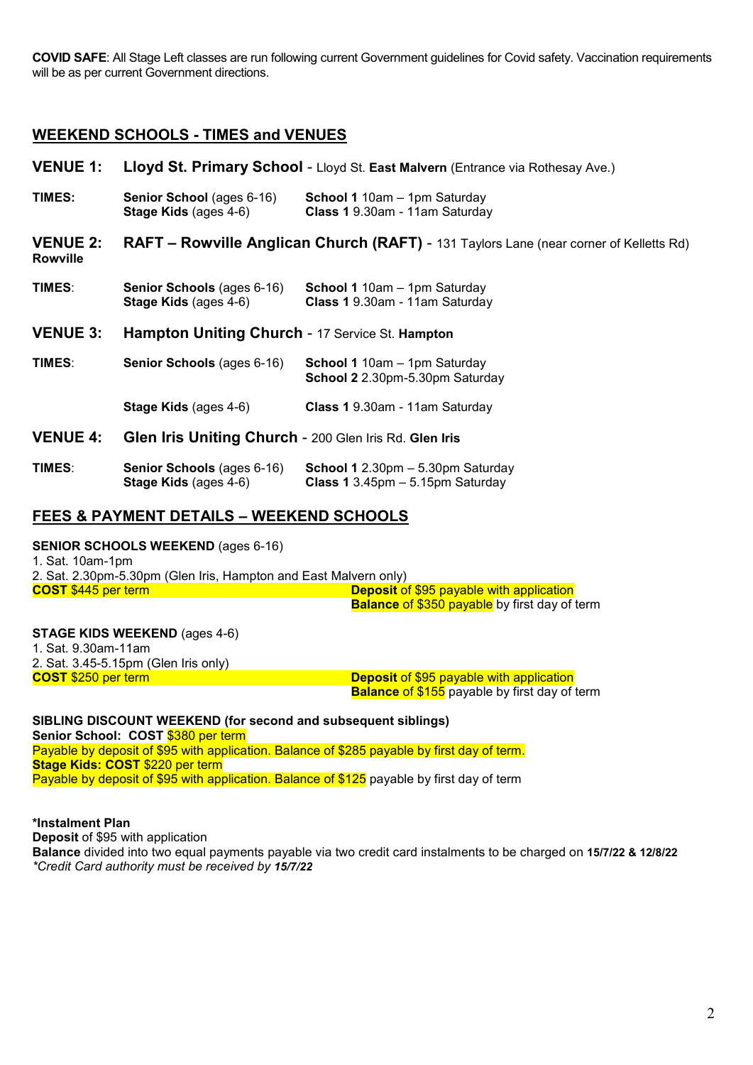**COVID SAFE**: All Stage Left classes are run following current Government guidelines for Covid safety. Vaccination requirements will be as per current Government directions.

# **WEEKEND SCHOOLS - TIMES and VENUES**

**VENUE 1: Lloyd St. Primary School** - Lloyd St. **East Malvern** (Entrance via Rothesay Ave.) **TIMES: Senior School** (ages 6-16) **School 1** 10am – 1pm Saturday<br>**Stage Kids** (ages 4-6) **Class 1** 9.30am - 11am Saturday **Stage Kids** (ages 4-6) **Class 1** 9.30am - 11am Saturday **VENUE 2: RAFT – Rowville Anglican Church (RAFT)** - 131 Taylors Lane (near corner of Kelletts Rd) **Rowville TIMES: Senior Schools** (ages 6-16) **School 1** 10am – 1pm Saturday<br>**Stage Kids** (ages 4-6) **Class 1** 9.30am - 11am Saturday **Stage Kids** (ages 4-6) **Class 1** 9.30am - 11am Saturday **VENUE 3: Hampton Uniting Church** - 17 Service St. **Hampton TIMES**: **Senior Schools** (ages 6-16) **School 1** 10am – 1pm Saturday **School 2** 2.30pm-5.30pm Saturday **Stage Kids** (ages 4-6) **Class 1** 9.30am - 11am Saturday **VENUE 4: Glen Iris Uniting Church** - 200 Glen Iris Rd. **Glen Iris TIMES: Senior Schools** (ages 6-16) **School 1** 2.30pm – 5.30pm Saturday<br>**Stage Kids** (ages 4-6) **Class 1** 3.45pm – 5.15pm Saturday

**Stage Kids** (ages 4-6) **Class 1** 3.45pm – 5.15pm Saturday

# **FEES & PAYMENT DETAILS – WEEKEND SCHOOLS**

# **SENIOR SCHOOLS WEEKEND** (ages 6-16)

1. Sat. 10am-1pm 2. Sat. 2.30pm-5.30pm (Glen Iris, Hampton and East Malvern only)<br>COST \$445 per term **Deposit** of \$95 payable with application **Balance** of \$350 payable by first day of term

#### **STAGE KIDS WEEKEND** (ages 4-6)

1. Sat. 9.30am-11am 2. Sat. 3.45-5.15pm (Glen Iris only)

**COST** \$250 per term **Deposit** of \$95 payable with application **Balance** of \$155 payable by first day of term

#### **SIBLING DISCOUNT WEEKEND (for second and subsequent siblings)**

**Senior School: COST** \$380 per term Payable by deposit of \$95 with application. Balance of \$285 payable by first day of term. **Stage Kids: COST** \$220 per term Payable by deposit of \$95 with application. Balance of \$125 payable by first day of term

## **\*Instalment Plan**

**Deposit** of \$95 with application **Balance** divided into two equal payments payable via two credit card instalments to be charged on **15/7/22 & 12/8/22** *\*Credit Card authority must be received by 15/7/22*